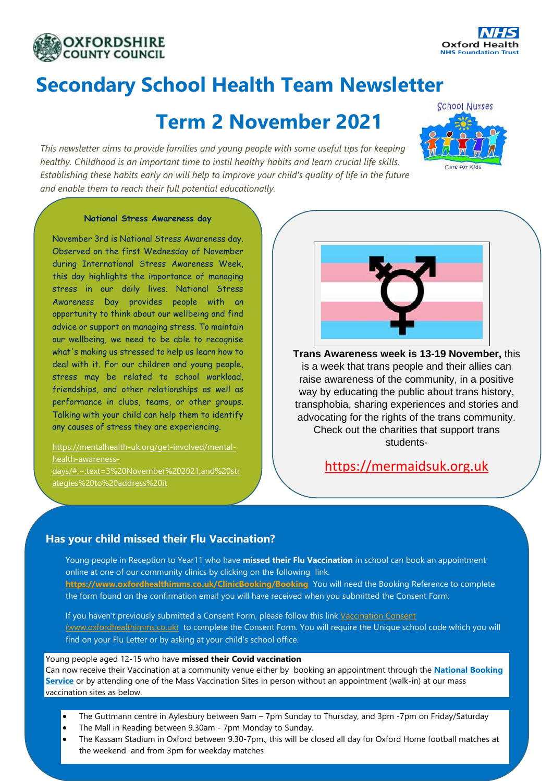



# **Secondary School Health Team Newsletter**

# **Term 2 November 2021**

*This newsletter aims to provide families and young people with some useful tips for keeping healthy. Childhood is an important time to instil healthy habits and learn crucial life skills. Establishing these habits early on will help to improve your child's quality of life in the future and enable them to reach their full potential educationally.*



#### **National Stress Awareness day**

November 3rd is National Stress Awareness day. Observed on the first Wednesday of November during International Stress Awareness Week, this day highlights the importance of managing stress in our daily lives. National Stress Awareness Day provides people with an opportunity to think about our wellbeing and find advice or support on managing stress. To maintain our wellbeing, we need to be able to recognise what's making us stressed to help us learn how to deal with it. For our children and young people, stress may be related to school workload, friendships, and other relationships as well as performance in clubs, teams, or other groups. Talking with your child can help them to identify any causes of stress they are experiencing.

[https://mentalhealth-uk.org/get-involved/mental](https://mentalhealth-uk.org/get-involved/mental-health-awareness-days/#:~:text=3%20November%202021,and%20strategies%20to%20address%20it)[health-awareness](https://mentalhealth-uk.org/get-involved/mental-health-awareness-days/#:~:text=3%20November%202021,and%20strategies%20to%20address%20it)[days/#:~:text=3%20November%202021,and%20str](https://mentalhealth-uk.org/get-involved/mental-health-awareness-days/#:~:text=3%20November%202021,and%20strategies%20to%20address%20it)

[ategies%20to%20address%20it](https://mentalhealth-uk.org/get-involved/mental-health-awareness-days/#:~:text=3%20November%202021,and%20strategies%20to%20address%20it)



**Trans Awareness week is 13-19 November,** this is a week that trans people and their allies can raise awareness of the community, in a positive way by educating the public about trans history, transphobia, sharing experiences and stories and advocating for the rights of the trans community. Check out the charities that support trans students-

# [https://mermaidsuk.org.uk](https://mermaidsuk.org.uk/)

## **Has your child missed their Flu Vaccination?**

Young people in Reception to Year11 who have **missed their Flu Vaccination** in school can book an appointment online at one of our community clinics by clicking on the following link. **<https://www.oxfordhealthimms.co.uk/ClinicBooking/Booking>** You will need the Booking Reference to complete the form found on the confirmation email you will have received when you submitted the Consent Form.

If you haven't previously submitted a Consent Form, please follow this lin[k Vaccination Consent](https://ohft365.sharepoint.com/sites/O365Grp-SHNWholeService/Shared%20Documents/General/4.%20Secondary/Newsletters/Vaccination%20Consent%20(www.oxfordhealthimms.co.uk))  [\(www.oxfordhealthimms.co.uk\)](https://ohft365.sharepoint.com/sites/O365Grp-SHNWholeService/Shared%20Documents/General/4.%20Secondary/Newsletters/Vaccination%20Consent%20(www.oxfordhealthimms.co.uk)) to complete the Consent Form. You will require the Unique school code which you will find on your Flu Letter or by asking at your child's school office.

#### Young people aged 12-15 who have **missed their Covid vaccination**

Can now receive their Vaccination at a community venue either by booking an appointment through the **[National Booking](https://www.nhs.uk/conditions/coronavirus-covid-19/coronavirus-vaccination/book-coronavirus-vaccination/)  [Service](https://www.nhs.uk/conditions/coronavirus-covid-19/coronavirus-vaccination/book-coronavirus-vaccination/)** or by attending one of the Mass Vaccination Sites in person without an appointment (walk-in) at our mass vaccination sites as below.

- The Guttmann centre in Aylesbury between 9am 7pm Sunday to Thursday, and 3pm -7pm on Friday/Saturday
- The Mall in Reading between 9.30am 7pm Monday to Sunday.
- The Kassam Stadium in Oxford between 9.30-7pm., this will be closed all day for Oxford Home football matches at the weekend and from 3pm for weekday matches